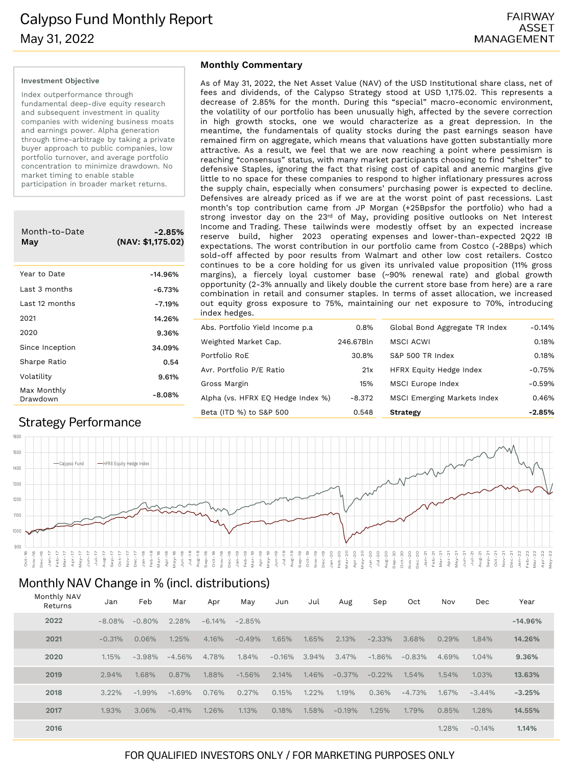# Calypso Fund Monthly Report May 31, 2022

#### **Investment Objective**

Index outperformance through fundamental deep-dive equity research and subsequent investment in quality companies with widening business moats and earnings power. Alpha generation through time-arbitrage by taking a private buyer approach to public companies, low portfolio turnover, and average portfolio concentration to minimize drawdown. No market timing to enable stable participation in broader market returns.

| Month-to-Date<br>May    | $-2.85%$<br>(NAV: \$1,175.02) |
|-------------------------|-------------------------------|
| Year to Date            | $-14.96%$                     |
| Last 3 months           | $-6.73%$                      |
| Last 12 months          | $-7.19%$                      |
| 2021                    | 14.26%                        |
| 2020                    | 9.36%                         |
| Since Inception         | 34.09%                        |
| Sharpe Ratio            | 0.54                          |
| Volatility              | 9.61%                         |
| Max Monthly<br>Drawdown | $-8.08%$                      |

## Strategy Performance

#### **Monthly Commentary**

As of May 31, 2022, the Net Asset Value (NAV) of the USD Institutional share class, net of fees and dividends, of the Calypso Strategy stood at USD 1,175.02. This represents a decrease of 2.85% for the month. During this "special" macro-economic environment, the volatility of our portfolio has been unusually high, affected by the severe correction in high growth stocks, one we would characterize as a great depression. In the meantime, the fundamentals of quality stocks during the past earnings season have remained firm on aggregate, which means that valuations have gotten substantially more attractive. As a result, we feel that we are now reaching a point where pessimism is reaching "consensus" status, with many market participants choosing to find "shelter" to defensive Staples, ignoring the fact that rising cost of capital and anemic margins give little to no space for these companies to respond to higher inflationary pressures across the supply chain, especially when consumers' purchasing power is expected to decline. Defensives are already priced as if we are at the worst point of past recessions. Last month's top contribution came from JP Morgan (+25Bpsfor the portfolio) who had a strong investor day on the 23rd of May, providing positive outlooks on Net Interest Income and Trading. These tailwinds were modestly offset by an expected increase reserve build, higher 2023 operating expenses and lower-than-expected 2Q22 IB expectations. The worst contribution in our portfolio came from Costco (-28Bps) which sold-off affected by poor results from Walmart and other low cost retailers. Costco continues to be a core holding for us given its unrivaled value proposition (11% gross margins), a fiercely loyal customer base (~90% renewal rate) and global growth opportunity (2-3% annually and likely double the current store base from here) are a rare combination in retail and consumer staples. In terms of asset allocation, we increased out equity gross exposure to 75%, maintaining our net exposure to 70%, introducing index hedges.

| Abs. Portfolio Yield Income p.a.  | 0.8%      | Global Bond Aggregate TR Index     | $-0.14%$ |
|-----------------------------------|-----------|------------------------------------|----------|
| Weighted Market Cap.              | 246.67Bln | <b>MSCI ACWI</b>                   | 0.18%    |
| Portfolio RoE                     | 30.8%     | S&P 500 TR Index                   | 0.18%    |
| Avr. Portfolio P/E Ratio          | 21x       | <b>HFRX Equity Hedge Index</b>     | $-0.75%$ |
| Gross Margin                      | 15%       | MSCI Europe Index                  | $-0.59%$ |
| Alpha (vs. HFRX EQ Hedge Index %) | $-8.372$  | <b>MSCI Emerging Markets Index</b> | 0.46%    |
| Beta (ITD %) to S&P 500           | 0.548     | Strategy                           | $-2.85%$ |



### Monthly NAV Monthly NAV Change in % (incl. distributions)

| <b>MONTHLY NAV</b><br>Returns | Jan       | Feb       | Mar      | Apr      | May       | Jun      | Jul   | Aug       | Sep       | Oct      | Nov   | Dec       | Year      |
|-------------------------------|-----------|-----------|----------|----------|-----------|----------|-------|-----------|-----------|----------|-------|-----------|-----------|
| 2022                          | $-8.08\%$ | $-0.80\%$ | 2.28%    | $-6.14%$ | $-2.85\%$ |          |       |           |           |          |       |           | $-14.96%$ |
| 2021                          | $-0.31%$  | 0.06%     | 1.25%    | 4.16%    | $-0.49%$  | 1.65%    | 1.65% | 2.13%     | $-2.33%$  | 3.68%    | 0.29% | 1.84%     | 14.26%    |
| 2020                          | 1.15%     | $-3.98%$  | $-4.56%$ | 4.78%    | 1.84%     | $-0.16%$ | 3.94% | 3.47%     | $-1.86%$  | $-0.83%$ | 4.69% | 1.04%     | 9.36%     |
| 2019                          | 2.94%     | 1.68%     | 0.87%    | 1.88%    | $-1.56%$  | 2.14%    | 1.46% | $-0.37\%$ | $-0.22\%$ | 1.54%    | 1.54% | 1.03%     | 13.63%    |
| 2018                          | 3.22%     | $-1.99%$  | $-1.69%$ | 0.76%    | 0.27%     | 0.15%    | 1.22% | 1.19%     | 0.36%     | $-4.73%$ | 1.67% | $-3.44\%$ | $-3.25%$  |
| 2017                          | 1.93%     | 3.06%     | $-0.41%$ | 1.26%    | 1.13%     | 0.18%    | 1.58% | $-0.19%$  | 1.25%     | 1.79%    | 0.85% | 1.28%     | 14.55%    |
| 2016                          |           |           |          |          |           |          |       |           |           |          | 1.28% | $-0.14%$  | 1.14%     |

## FOR QUALIFIED INVESTORS ONLY / FOR MARKETING PURPOSES ONLY